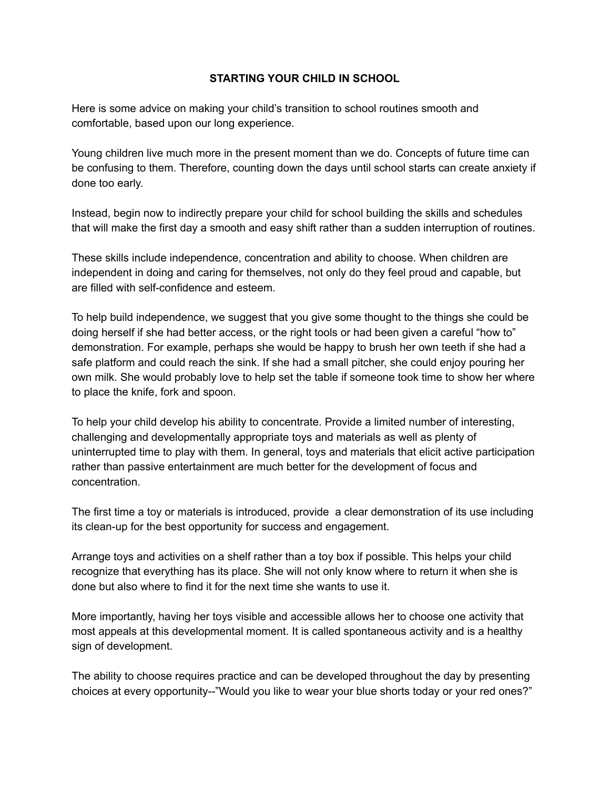## **STARTING YOUR CHILD IN SCHOOL**

Here is some advice on making your child's transition to school routines smooth and comfortable, based upon our long experience.

Young children live much more in the present moment than we do. Concepts of future time can be confusing to them. Therefore, counting down the days until school starts can create anxiety if done too early.

Instead, begin now to indirectly prepare your child for school building the skills and schedules that will make the first day a smooth and easy shift rather than a sudden interruption of routines.

These skills include independence, concentration and ability to choose. When children are independent in doing and caring for themselves, not only do they feel proud and capable, but are filled with self-confidence and esteem.

To help build independence, we suggest that you give some thought to the things she could be doing herself if she had better access, or the right tools or had been given a careful "how to" demonstration. For example, perhaps she would be happy to brush her own teeth if she had a safe platform and could reach the sink. If she had a small pitcher, she could enjoy pouring her own milk. She would probably love to help set the table if someone took time to show her where to place the knife, fork and spoon.

To help your child develop his ability to concentrate. Provide a limited number of interesting, challenging and developmentally appropriate toys and materials as well as plenty of uninterrupted time to play with them. In general, toys and materials that elicit active participation rather than passive entertainment are much better for the development of focus and concentration.

The first time a toy or materials is introduced, provide a clear demonstration of its use including its clean-up for the best opportunity for success and engagement.

Arrange toys and activities on a shelf rather than a toy box if possible. This helps your child recognize that everything has its place. She will not only know where to return it when she is done but also where to find it for the next time she wants to use it.

More importantly, having her toys visible and accessible allows her to choose one activity that most appeals at this developmental moment. It is called spontaneous activity and is a healthy sign of development.

The ability to choose requires practice and can be developed throughout the day by presenting choices at every opportunity--"Would you like to wear your blue shorts today or your red ones?"